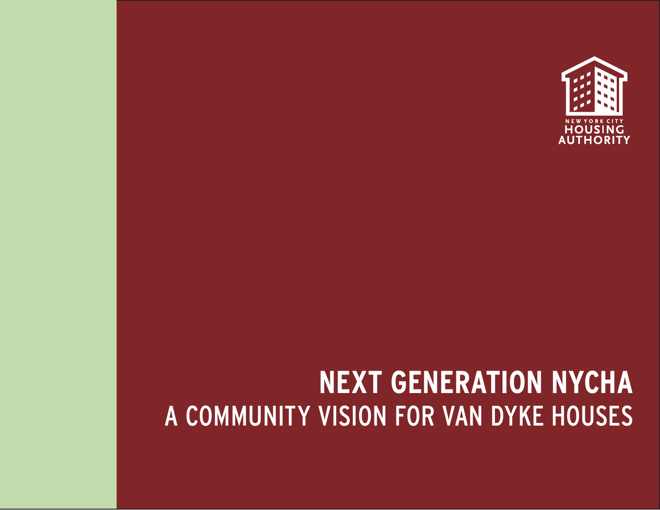

# **NEXT GENERATION NYCHA** A COMMUNITY VISION FOR VAN DYKE HOUSES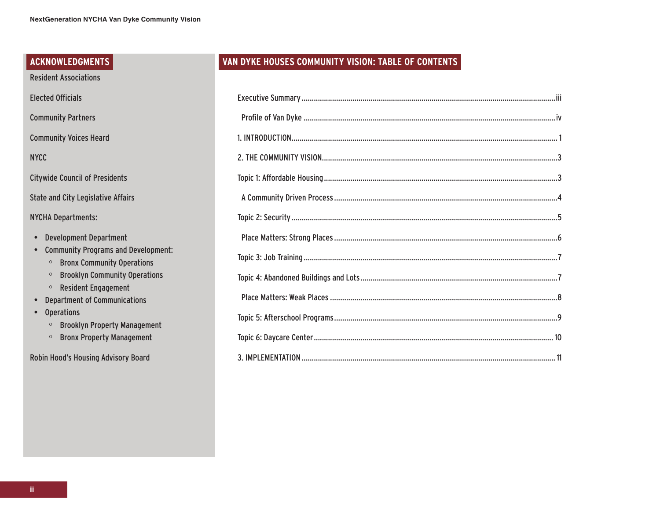# **ACKNOWLEDGMENTS**

Resident Associations

Elected Officials

Community Partners

Community Voices Heard

NYCC

Citywide Council of Presidents

State and City Legislative Affairs

### NYCHA Departments:

- Development Department
- Community Programs and Development:
	- º Bronx Community Operations
	- º Brooklyn Community Operations
	- º Resident Engagement
- Department of Communications
- Operations
	- º Brooklyn Property Management
	- º Bronx Property Management

Robin Hood's Housing Advisory Board

# **VAN DYKE HOUSES COMMUNITY VISION: TABLE OF CONTENTS**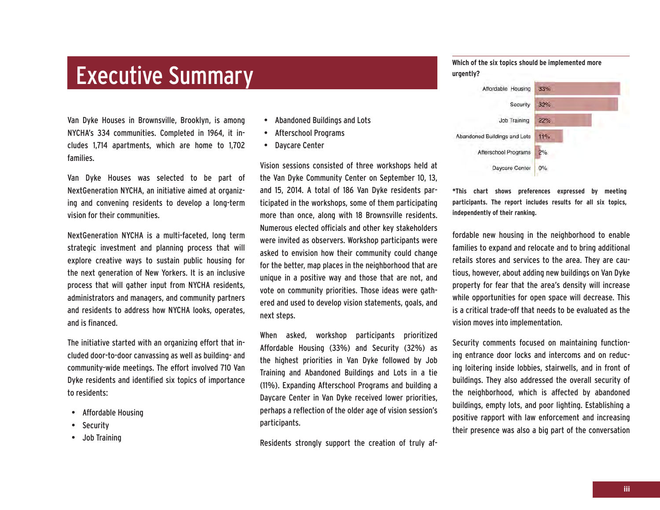# Executive Summary

Van Dyke Houses in Brownsville, Brooklyn, is among NYCHA's 334 communities. Completed in 1964, it includes 1,714 apartments, which are home to 1,702 families.

Van Dyke Houses was selected to be part of NextGeneration NYCHA, an initiative aimed at organizing and convening residents to develop a long-term vision for their communities.

NextGeneration NYCHA is a multi-faceted, long term strategic investment and planning process that will explore creative ways to sustain public housing for the next generation of New Yorkers. It is an inclusive process that will gather input from NYCHA residents, administrators and managers, and community partners and residents to address how NYCHA looks, operates, and is financed.

The initiative started with an organizing effort that included door-to-door canvassing as well as building- and community-wide meetings. The effort involved 710 Van Dyke residents and identified six topics of importance to residents:

- Affordable Housing
- Security
- Job Training
- Abandoned Buildings and Lots
- Afterschool Programs
- Daycare Center

Vision sessions consisted of three workshops held at the Van Dyke Community Center on September 10, 13, and 15, 2014. A total of 186 Van Dyke residents participated in the workshops, some of them participating more than once, along with 18 Brownsville residents. Numerous elected officials and other key stakeholders were invited as observers. Workshop participants were asked to envision how their community could change for the better, map places in the neighborhood that are unique in a positive way and those that are not, and vote on community priorities. Those ideas were gathered and used to develop vision statements, goals, and next steps.

When asked, workshop participants prioritized Affordable Housing (33%) and Security (32%) as the highest priorities in Van Dyke followed by Job Training and Abandoned Buildings and Lots in a tie (11%). Expanding Afterschool Programs and building a Daycare Center in Van Dyke received lower priorities, perhaps a reflection of the older age of vision session's participants.

Residents strongly support the creation of truly af-



**\*This chart shows preferences expressed by meeting participants. The report includes results for all six topics, independently of their ranking.**

fordable new housing in the neighborhood to enable families to expand and relocate and to bring additional retails stores and services to the area. They are cautious, however, about adding new buildings on Van Dyke property for fear that the area's density will increase while opportunities for open space will decrease. This is a critical trade-off that needs to be evaluated as the vision moves into implementation.

Security comments focused on maintaining functioning entrance door locks and intercoms and on reducing loitering inside lobbies, stairwells, and in front of buildings. They also addressed the overall security of the neighborhood, which is affected by abandoned buildings, empty lots, and poor lighting. Establishing a positive rapport with law enforcement and increasing their presence was also a big part of the conversation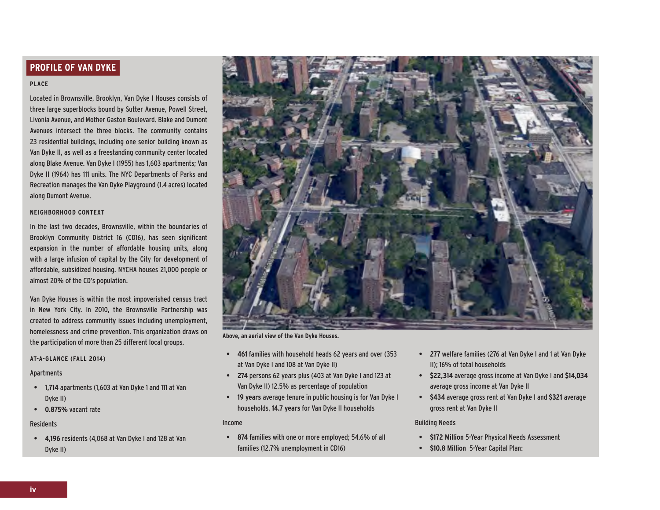## **PROFILE OF VAN DYKE**

#### **PLACE**

Located in Brownsville, Brooklyn, Van Dyke I Houses consists of three large superblocks bound by Sutter Avenue, Powell Street, Livonia Avenue, and Mother Gaston Boulevard. Blake and Dumont Avenues intersect the three blocks. The community contains 23 residential buildings, including one senior building known as Van Dyke II, as well as a freestanding community center located along Blake Avenue. Van Dyke I (1955) has 1,603 apartments; Van Dyke II (1964) has 111 units. The NYC Departments of Parks and Recreation manages the Van Dyke Playground (1.4 acres) located along Dumont Avenue.

#### **NEIGHBORHOOD CONTEXT**

In the last two decades, Brownsville, within the boundaries of Brooklyn Community District 16 (CD16), has seen significant expansion in the number of affordable housing units, along with a large infusion of capital by the City for development of affordable, subsidized housing. NYCHA houses 21,000 people or almost 20% of the CD's population.

Van Dyke Houses is within the most impoverished census tract in New York City. In 2010, the Brownsville Partnership was created to address community issues including unemployment, homelessness and crime prevention. This organization draws on the participation of more than 25 different local groups.

**AT-A-GLANCE (FALL 2014)**

#### Apartments

- **• 1,714** apartments (1,603 at Van Dyke 1 and 111 at Van Dyke II)
- **• 0.875%** vacant rate

#### Residents

**• 4,196** residents (4,068 at Van Dyke I and 128 at Van Dyke II)



**Above, an aerial view of the Van Dyke Houses.**

- **• 461** families with household heads 62 years and over (353 at Van Dyke I and 108 at Van Dyke II)
- **• 274** persons 62 years plus (403 at Van Dyke I and 123 at Van Dyke II) 12.5% as percentage of population
- **• 19 years** average tenure in public housing is for Van Dyke I households, **14.7 years** for Van Dyke II households

Income

**• 874** families with one or more employed; 54.6% of all families (12.7% unemployment in CD16)

- **• 277** welfare families (276 at Van Dyke I and 1 at Van Dyke II); 16% of total households
- **• \$22,314** average gross income at Van Dyke I and **\$14,034** average gross income at Van Dyke II
- **• \$434** average gross rent at Van Dyke I and **\$321** average gross rent at Van Dyke II

#### Building Needs

- **• \$172 Million** 5-Year Physical Needs Assessment
- **• \$10.8 Million** 5-Year Capital Plan: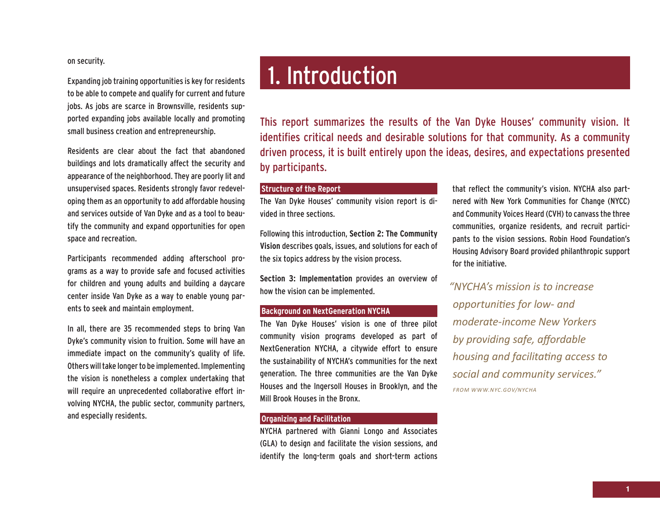on security.

Expanding job training opportunities is key for residents to be able to compete and qualify for current and future jobs. As jobs are scarce in Brownsville, residents supported expanding jobs available locally and promoting small business creation and entrepreneurship.

Residents are clear about the fact that abandoned buildings and lots dramatically affect the security and appearance of the neighborhood. They are poorly lit and unsupervised spaces. Residents strongly favor redeveloping them as an opportunity to add affordable housing and services outside of Van Dyke and as a tool to beautify the community and expand opportunities for open space and recreation.

Participants recommended adding afterschool programs as a way to provide safe and focused activities for children and young adults and building a daycare center inside Van Dyke as a way to enable young parents to seek and maintain employment.

In all, there are 35 recommended steps to bring Van Dyke's community vision to fruition. Some will have an immediate impact on the community's quality of life. Others will take longer to be implemented. Implementing the vision is nonetheless a complex undertaking that will require an unprecedented collaborative effort involving NYCHA, the public sector, community partners, and especially residents.

# 1. Introduction

This report summarizes the results of the Van Dyke Houses' community vision. It identifies critical needs and desirable solutions for that community. As a community driven process, it is built entirely upon the ideas, desires, and expectations presented by participants.

#### **Structure of the Report**

The Van Dyke Houses' community vision report is divided in three sections.

Following this introduction, **Section 2: The Community Vision** describes goals, issues, and solutions for each of the six topics address by the vision process.

**Section 3: Implementation** provides an overview of how the vision can be implemented.

#### **Background on NextGeneration NYCHA**

The Van Dyke Houses' vision is one of three pilot community vision programs developed as part of NextGeneration NYCHA, a citywide effort to ensure the sustainability of NYCHA's communities for the next generation. The three communities are the Van Dyke Houses and the Ingersoll Houses in Brooklyn, and the Mill Brook Houses in the Bronx.

#### **Organizing and Facilitation**

NYCHA partnered with Gianni Longo and Associates (GLA) to design and facilitate the vision sessions, and identify the long-term goals and short-term actions

that reflect the community's vision. NYCHA also partnered with New York Communities for Change (NYCC) and Community Voices Heard (CVH) to canvass the three communities, organize residents, and recruit participants to the vision sessions. Robin Hood Foundation's Housing Advisory Board provided philanthropic support for the initiative.

*"NYCHA's mission is to increase opportunities for low- and moderate-income New Yorkers by providing safe, affordable housing and facilitating access to social and community services." FROM WWW.NYC.GOV/NYCHA*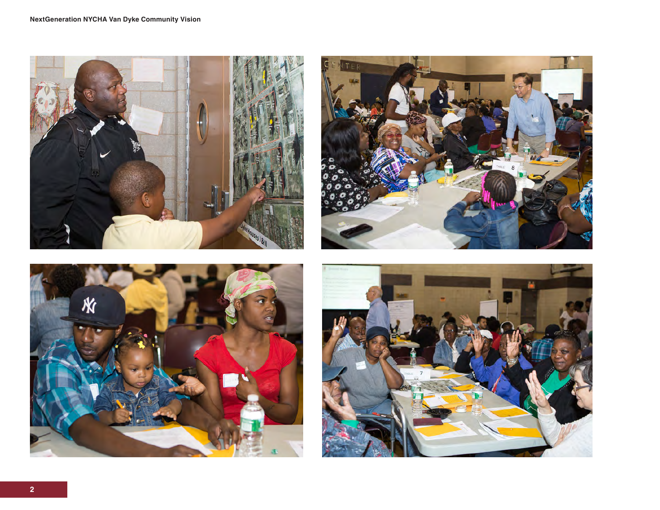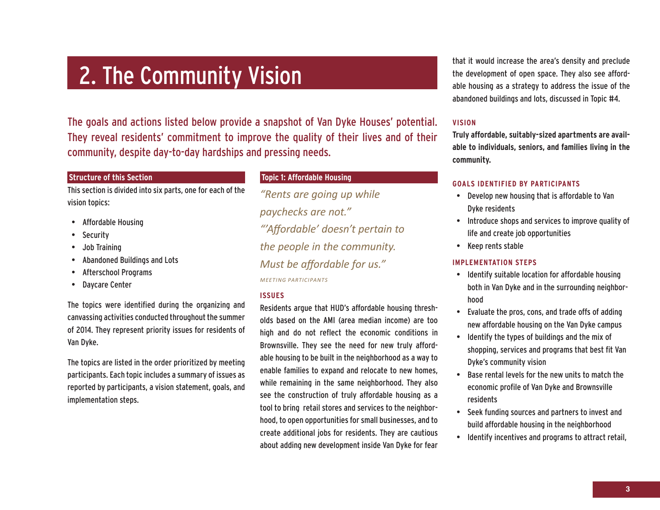# 2. The Community Vision

The goals and actions listed below provide a snapshot of Van Dyke Houses' potential. They reveal residents' commitment to improve the quality of their lives and of their community, despite day-to-day hardships and pressing needs.

#### **Structure of this Section**

This section is divided into six parts, one for each of the vision topics:

- Affordable Housing
- Security
- Job Training
- Abandoned Buildings and Lots
- Afterschool Programs
- Daycare Center

The topics were identified during the organizing and canvassing activities conducted throughout the summer of 2014. They represent priority issues for residents of Van Dyke.

The topics are listed in the order prioritized by meeting participants. Each topic includes a summary of issues as reported by participants, a vision statement, goals, and implementation steps.

## **Topic 1: Affordable Housing**

*"Rents are going up while paychecks are not." "'Affordable' doesn't pertain to the people in the community. Must be affordable for us." MEETING PARTICIPANTS*

#### **ISSUES**

Residents argue that HUD's affordable housing thresholds based on the AMI (area median income) are too high and do not reflect the economic conditions in Brownsville. They see the need for new truly affordable housing to be built in the neighborhood as a way to enable families to expand and relocate to new homes, while remaining in the same neighborhood. They also see the construction of truly affordable housing as a tool to bring retail stores and services to the neighborhood, to open opportunities for small businesses, and to create additional jobs for residents. They are cautious about adding new development inside Van Dyke for fear that it would increase the area's density and preclude the development of open space. They also see affordable housing as a strategy to address the issue of the abandoned buildings and lots, discussed in Topic #4.

#### **VISION**

**Truly affordable, suitably-sized apartments are available to individuals, seniors, and families living in the community.**

#### **GOALS IDENTIFIED BY PARTICIPANTS**

- Develop new housing that is affordable to Van Dyke residents
- Introduce shops and services to improve quality of life and create job opportunities
- Keep rents stable

#### **IMPLEMENTATION STEPS**

- Identify suitable location for affordable housing both in Van Dyke and in the surrounding neighborhood
- Evaluate the pros, cons, and trade offs of adding new affordable housing on the Van Dyke campus
- Identify the types of buildings and the mix of shopping, services and programs that best fit Van Dyke's community vision
- Base rental levels for the new units to match the economic profile of Van Dyke and Brownsville residents
- Seek funding sources and partners to invest and build affordable housing in the neighborhood
- Identify incentives and programs to attract retail,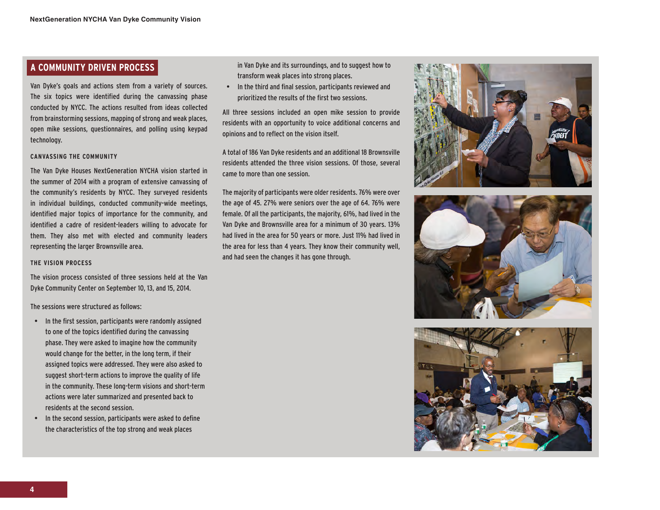# **A COMMUNITY DRIVEN PROCESS**

Van Dyke's goals and actions stem from a variety of sources. The six topics were identified during the canvassing phase conducted by NYCC. The actions resulted from ideas collected from brainstorming sessions, mapping of strong and weak places, open mike sessions, questionnaires, and polling using keypad technology.

#### **CANVASSING THE COMMUNITY**

The Van Dyke Houses NextGeneration NYCHA vision started in the summer of 2014 with a program of extensive canvassing of the community's residents by NYCC. They surveyed residents in individual buildings, conducted community-wide meetings, identified major topics of importance for the community, and identified a cadre of resident-leaders willing to advocate for them. They also met with elected and community leaders representing the larger Brownsville area.

#### **THE VISION PROCESS**

The vision process consisted of three sessions held at the Van Dyke Community Center on September 10, 13, and 15, 2014.

The sessions were structured as follows:

- In the first session, participants were randomly assigned to one of the topics identified during the canvassing phase. They were asked to imagine how the community would change for the better, in the long term, if their assigned topics were addressed. They were also asked to suggest short-term actions to improve the quality of life in the community. These long-term visions and short-term actions were later summarized and presented back to residents at the second session.
- In the second session, participants were asked to define the characteristics of the top strong and weak places

in Van Dyke and its surroundings, and to suggest how to transform weak places into strong places.

• In the third and final session, participants reviewed and prioritized the results of the first two sessions.

All three sessions included an open mike session to provide residents with an opportunity to voice additional concerns and opinions and to reflect on the vision itself.

A total of 186 Van Dyke residents and an additional 18 Brownsville residents attended the three vision sessions. Of those, several came to more than one session.

The majority of participants were older residents. 76% were over the age of 45. 27% were seniors over the age of 64. 76% were female. Of all the participants, the majority, 61%, had lived in the Van Dyke and Brownsville area for a minimum of 30 years. 13% had lived in the area for 50 years or more. Just 11% had lived in the area for less than 4 years. They know their community well, and had seen the changes it has gone through.





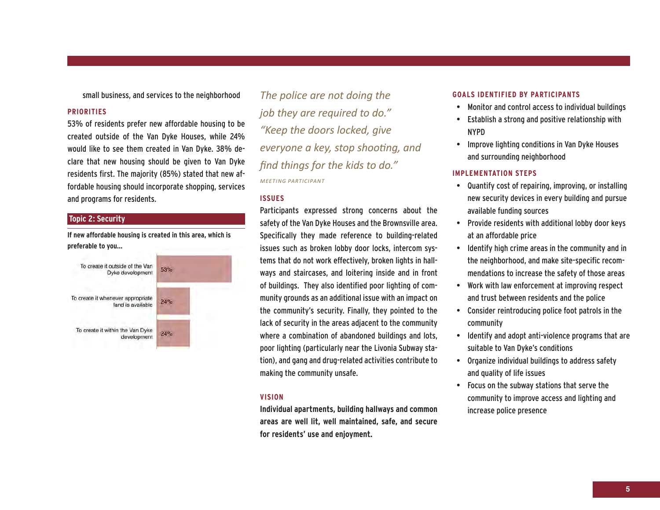small business, and services to the neighborhood

#### **PRIORITIES**

53% of residents prefer new affordable housing to be created outside of the Van Dyke Houses, while 24% would like to see them created in Van Dyke. 38% declare that new housing should be given to Van Dyke residents first. The majority (85%) stated that new affordable housing should incorporate shopping, services and programs for residents.

#### **Topic 2: Security**

**If new affordable housing is created in this area, which is preferable to you…**



*The police are not doing the job they are required to do." "Keep the doors locked, give everyone a key, stop shooting, and find things for the kids to do." MEETING PARTICIPANT*

#### **ISSUES**

Participants expressed strong concerns about the safety of the Van Dyke Houses and the Brownsville area. Specifically they made reference to building-related issues such as broken lobby door locks, intercom systems that do not work effectively, broken lights in hallways and staircases, and loitering inside and in front of buildings. They also identified poor lighting of community grounds as an additional issue with an impact on the community's security. Finally, they pointed to the lack of security in the areas adjacent to the community where a combination of abandoned buildings and lots, poor lighting (particularly near the Livonia Subway station), and gang and drug-related activities contribute to making the community unsafe.

#### **VISION**

**Individual apartments, building hallways and common areas are well lit, well maintained, safe, and secure for residents' use and enjoyment.** 

#### **GOALS IDENTIFIED BY PARTICIPANTS**

- Monitor and control access to individual buildings
- Establish a strong and positive relationship with NYPD
- Improve lighting conditions in Van Dyke Houses and surrounding neighborhood

#### **IMPLEMENTATION STEPS**

- Quantify cost of repairing, improving, or installing new security devices in every building and pursue available funding sources
- Provide residents with additional lobby door keys at an affordable price
- Identify high crime areas in the community and in the neighborhood, and make site-specific recommendations to increase the safety of those areas
- Work with law enforcement at improving respect and trust between residents and the police
- Consider reintroducing police foot patrols in the community
- Identify and adopt anti-violence programs that are suitable to Van Dyke's conditions
- Organize individual buildings to address safety and quality of life issues
- Focus on the subway stations that serve the community to improve access and lighting and increase police presence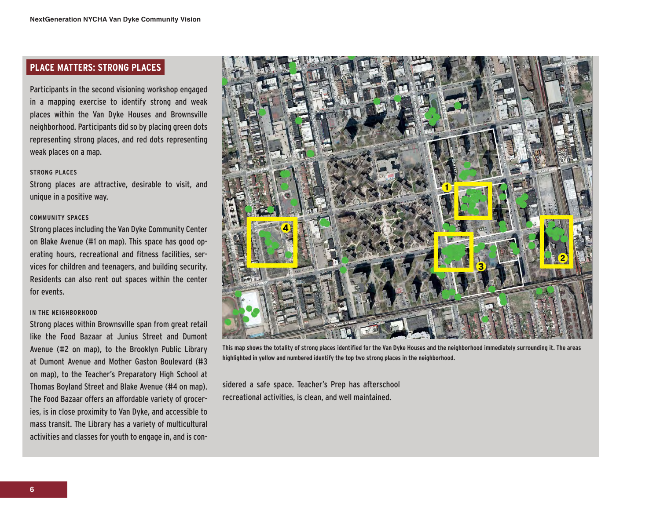# **PLACE MATTERS: STRONG PLACES**

Participants in the second visioning workshop engaged in a mapping exercise to identify strong and weak places within the Van Dyke Houses and Brownsville neighborhood. Participants did so by placing green dots representing strong places, and red dots representing weak places on a map.

#### **STRONG PLACES**

Strong places are attractive, desirable to visit, and unique in a positive way.

#### **COMMUNITY SPACES**

Strong places including the Van Dyke Community Center on Blake Avenue (#1 on map). This space has good operating hours, recreational and fitness facilities, services for children and teenagers, and building security. Residents can also rent out spaces within the center for events.

#### **IN THE NEIGHBORHOOD**

Strong places within Brownsville span from great retail like the Food Bazaar at Junius Street and Dumont Avenue (#2 on map), to the Brooklyn Public Library at Dumont Avenue and Mother Gaston Boulevard (#3 on map), to the Teacher's Preparatory High School at Thomas Boyland Street and Blake Avenue (#4 on map). The Food Bazaar offers an affordable variety of groceries, is in close proximity to Van Dyke, and accessible to mass transit. The Library has a variety of multicultural activities and classes for youth to engage in, and is con-



**This map shows the totality of strong places identified for the Van Dyke Houses and the neighborhood immediately surrounding it. The areas highlighted in yellow and numbered identify the top two strong places in the neighborhood.** 

sidered a safe space. Teacher's Prep has afterschool recreational activities, is clean, and well maintained.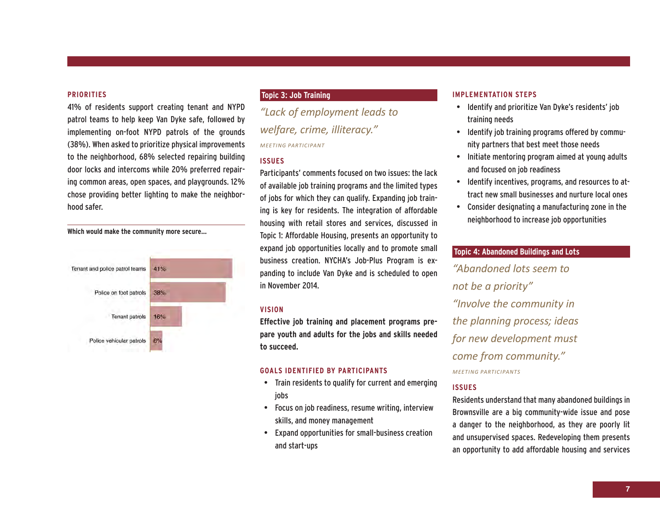#### **PRIORITIES**

41% of residents support creating tenant and NYPD patrol teams to help keep Van Dyke safe, followed by implementing on-foot NYPD patrols of the grounds (38%). When asked to prioritize physical improvements to the neighborhood, 68% selected repairing building door locks and intercoms while 20% preferred repairing common areas, open spaces, and playgrounds. 12% chose providing better lighting to make the neighborhood safer.

**Which would make the community more secure…**



#### **Topic 3: Job Training**

*"Lack of employment leads to welfare, crime, illiteracy." MEETING PARTICIPANT*

#### **ISSUES**

Participants' comments focused on two issues: the lack of available job training programs and the limited types of jobs for which they can qualify. Expanding job training is key for residents. The integration of affordable housing with retail stores and services, discussed in Topic 1: Affordable Housing, presents an opportunity to expand job opportunities locally and to promote small business creation. NYCHA's Job-Plus Program is expanding to include Van Dyke and is scheduled to open in November 2014.

#### **VISION**

**Effective job training and placement programs prepare youth and adults for the jobs and skills needed to succeed.**

#### **GOALS IDENTIFIED BY PARTICIPANTS**

- Train residents to qualify for current and emerging jobs
- Focus on job readiness, resume writing, interview skills, and money management
- Expand opportunities for small-business creation and start-ups

#### **IMPLEMENTATION STEPS**

- Identify and prioritize Van Dyke's residents' job training needs
- Identify job training programs offered by community partners that best meet those needs
- Initiate mentoring program aimed at young adults and focused on job readiness
- Identify incentives, programs, and resources to attract new small businesses and nurture local ones
- Consider designating a manufacturing zone in the neighborhood to increase job opportunities

## **Topic 4: Abandoned Buildings and Lots**

*"Abandoned lots seem to not be a priority" "Involve the community in the planning process; ideas for new development must come from community." MEETING PARTICIPANTS*

#### **ISSUES**

Residents understand that many abandoned buildings in Brownsville are a big community-wide issue and pose a danger to the neighborhood, as they are poorly lit and unsupervised spaces. Redeveloping them presents an opportunity to add affordable housing and services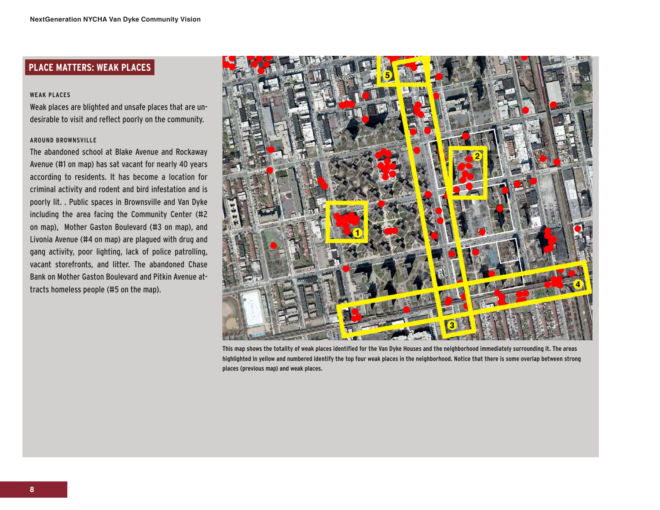## **PLACE MATTERS: WEAK PLACES**

#### **WEAK PLACES**

Weak places are blighted and unsafe places that are undesirable to visit and reflect poorly on the community.

#### **AROUND BROWNSVILLE**

The abandoned school at Blake Avenue and Rockaway Avenue (#1 on map) has sat vacant for nearly 40 years according to residents. It has become a location for criminal activity and rodent and bird infestation and is poorly lit. . Public spaces in Brownsville and Van Dyke including the area facing the Community Center (#2 on map), Mother Gaston Boulevard (#3 on map), and Livonia Avenue (#4 on map) are plagued with drug and gang activity, poor lighting, lack of police patrolling, vacant storefronts, and litter. The abandoned Chase Bank on Mother Gaston Boulevard and Pitkin Avenue attracts homeless people (#5 on the map).



**This map shows the totality of weak places identified for the Van Dyke Houses and the neighborhood immediately surrounding it. The areas highlighted in yellow and numbered identify the top four weak places in the neighborhood. Notice that there is some overlap between strong places (previous map) and weak places.**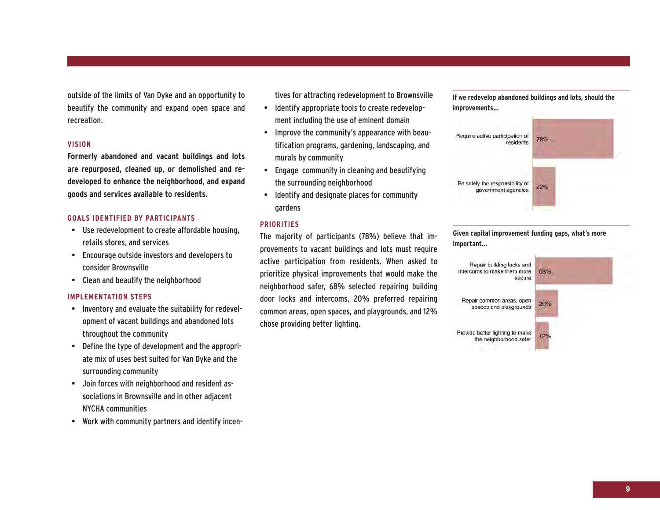outside of the limits of Van Dyke and an opportunity to beautify the community and expand open space and recreation.

#### **VISION**

**Formerly abandoned and vacant buildings and lots are repurposed, cleaned up, or demolished and redeveloped to enhance the neighborhood, and expand goods and services available to residents.**

#### **GOALS IDENTIFIED BY PARTICIPANTS**

- Use redevelopment to create affordable housing, retails stores, and services
- Encourage outside investors and developers to consider Brownsville
- Clean and beautify the neighborhood

#### **IMPLEMENTATION STEPS**

- Inventory and evaluate the suitability for redevelopment of vacant buildings and abandoned lots throughout the community
- Define the type of development and the appropriate mix of uses best suited for Van Dyke and the surrounding community
- Join forces with neighborhood and resident associations in Brownsville and in other adjacent NYCHA communities
- Work with community partners and identify incen-

tives for attracting redevelopment to Brownsville

- Identify appropriate tools to create redevelopment including the use of eminent domain
- Improve the community's appearance with beautification programs, gardening, landscaping, and murals by community
- Engage community in cleaning and beautifying the surrounding neighborhood
- Identify and designate places for community gardens

#### **PRIORITIES**

The majority of participants (78%) believe that improvements to vacant buildings and lots must require active participation from residents. When asked to prioritize physical improvements that would make the neighborhood safer, 68% selected repairing building door locks and intercoms, 20% preferred repairing common areas, open spaces, and playgrounds, and 12% chose providing better lighting.

**If we redevelop abandoned buildings and lots, should the improvements…**

residents

78%



**Given capital improvement funding gaps, what's more important…**

Repair building locks and intercoms to make them more secure

Require active participation of

Repair common areas, open spaces and playgrounds

Provide better lighting to make the neighborhood safer



68%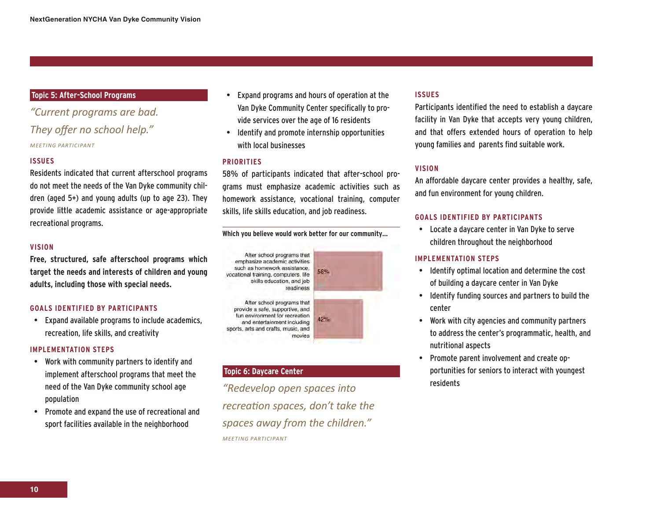#### **Topic 5: After-School Programs**

*"Current programs are bad. They offer no school help." MEETING PARTICIPANT*

#### **ISSUES**

Residents indicated that current afterschool programs do not meet the needs of the Van Dyke community children (aged 5+) and young adults (up to age 23). They provide little academic assistance or age-appropriate recreational programs.

#### **VISION**

**Free, structured, safe afterschool programs which target the needs and interests of children and young adults, including those with special needs.**

#### **GOALS IDENTIFIED BY PARTICIPANTS**

• Expand available programs to include academics, recreation, life skills, and creativity

#### **IMPLEMENTATION STEPS**

- Work with community partners to identify and implement afterschool programs that meet the need of the Van Dyke community school age population
- Promote and expand the use of recreational and sport facilities available in the neighborhood
- Expand programs and hours of operation at the Van Dyke Community Center specifically to provide services over the age of 16 residents
- Identify and promote internship opportunities with local businesses

#### **PRIORITIES**

58% of participants indicated that after-school programs must emphasize academic activities such as homework assistance, vocational training, computer skills, life skills education, and job readiness.

#### **Which you believe would work better for our community…**

After school programs that emphasize academic activities such as homework assistance, vocational training, computers, life skills education, and job readiness



After school programs that provide a safe, supportive, and fun environment for recreation. and entertainment including sports, arts and crafts, music, and movies

# $42\%$

#### **Topic 6: Daycare Center**

*"Redevelop open spaces into recreation spaces, don't take the spaces away from the children." MEETING PARTICIPANT*

#### **ISSUES**

Participants identified the need to establish a daycare facility in Van Dyke that accepts very young children, and that offers extended hours of operation to help young families and parents find suitable work.

#### **VISION**

An affordable daycare center provides a healthy, safe, and fun environment for young children.

#### **GOALS IDENTIFIED BY PARTICIPANTS**

• Locate a daycare center in Van Dyke to serve children throughout the neighborhood

#### **IMPLEMENTATION STEPS**

- Identify optimal location and determine the cost of building a daycare center in Van Dyke
- Identify funding sources and partners to build the center
- Work with city agencies and community partners to address the center's programmatic, health, and nutritional aspects
- Promote parent involvement and create opportunities for seniors to interact with youngest residents